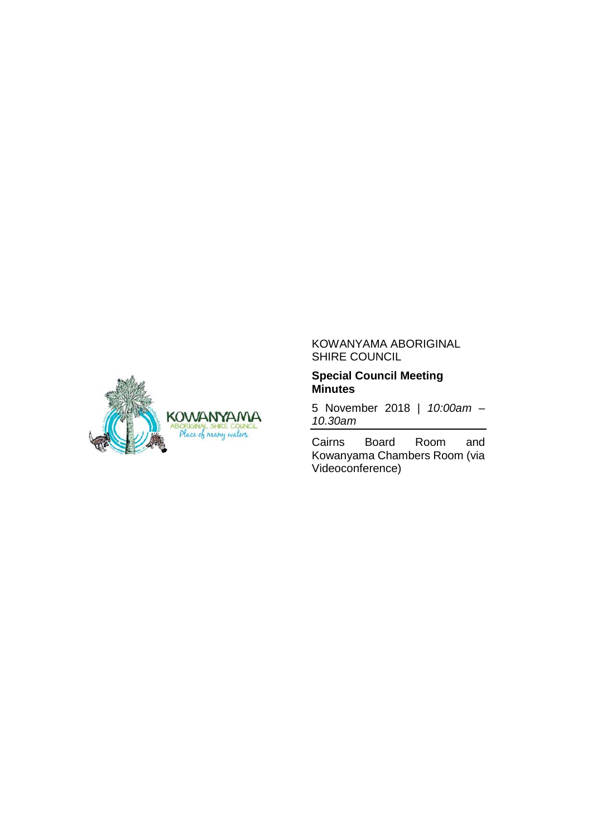

## KOWANYAMA ABORIGINAL SHIRE COUNCIL

## **Special Council Meeting Minutes**

5 November 2018 | *10:00am – 10.30am*

Cairns Board Room and Kowanyama Chambers Room (via Videoconference)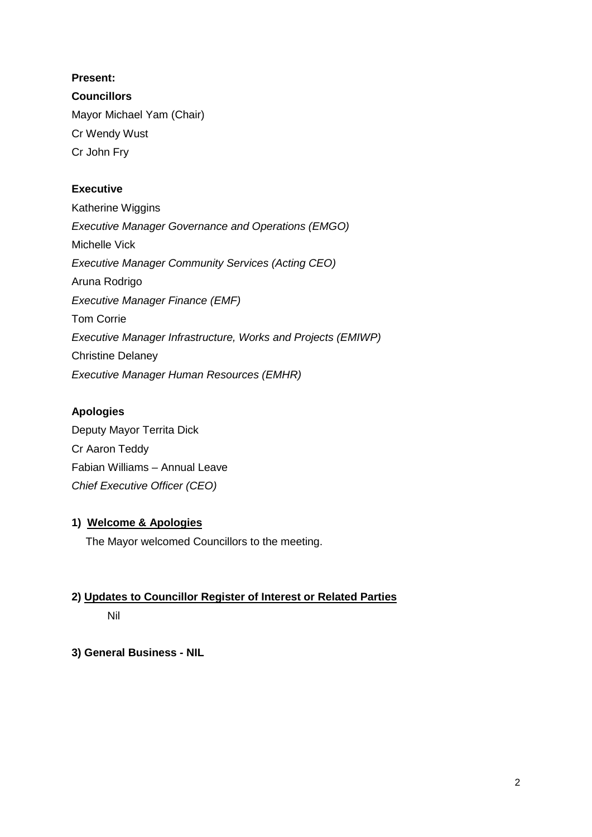# **Present:**

**Councillors** Mayor Michael Yam (Chair) Cr Wendy Wust Cr John Fry

# **Executive**

Katherine Wiggins *Executive Manager Governance and Operations (EMGO)* Michelle Vick *Executive Manager Community Services (Acting CEO)* Aruna Rodrigo *Executive Manager Finance (EMF)* Tom Corrie *Executive Manager Infrastructure, Works and Projects (EMIWP)* Christine Delaney *Executive Manager Human Resources (EMHR)*

# **Apologies**

Deputy Mayor Territa Dick Cr Aaron Teddy Fabian Williams – Annual Leave *Chief Executive Officer (CEO)*

# **1) Welcome & Apologies**

The Mayor welcomed Councillors to the meeting.

# **2) Updates to Councillor Register of Interest or Related Parties**

# Nil

# **3) General Business - NIL**